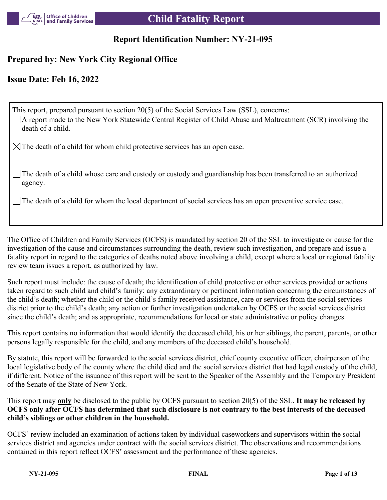

## **Report Identification Number: NY-21-095**

# **Prepared by: New York City Regional Office**

## **Issue Date: Feb 16, 2022**

| This report, prepared pursuant to section 20(5) of the Social Services Law (SSL), concerns:<br>A report made to the New York Statewide Central Register of Child Abuse and Maltreatment (SCR) involving the<br>death of a child. |
|----------------------------------------------------------------------------------------------------------------------------------------------------------------------------------------------------------------------------------|
| $\boxtimes$ The death of a child for whom child protective services has an open case.                                                                                                                                            |
| $\Box$ The death of a child whose care and custody or custody and guardianship has been transferred to an authorized<br>agency.                                                                                                  |
| $\Box$ The death of a child for whom the local department of social services has an open preventive service case.                                                                                                                |

The Office of Children and Family Services (OCFS) is mandated by section 20 of the SSL to investigate or cause for the investigation of the cause and circumstances surrounding the death, review such investigation, and prepare and issue a fatality report in regard to the categories of deaths noted above involving a child, except where a local or regional fatality review team issues a report, as authorized by law.

Such report must include: the cause of death; the identification of child protective or other services provided or actions taken regard to such child and child's family; any extraordinary or pertinent information concerning the circumstances of the child's death; whether the child or the child's family received assistance, care or services from the social services district prior to the child's death; any action or further investigation undertaken by OCFS or the social services district since the child's death; and as appropriate, recommendations for local or state administrative or policy changes.

This report contains no information that would identify the deceased child, his or her siblings, the parent, parents, or other persons legally responsible for the child, and any members of the deceased child's household.

By statute, this report will be forwarded to the social services district, chief county executive officer, chairperson of the local legislative body of the county where the child died and the social services district that had legal custody of the child, if different. Notice of the issuance of this report will be sent to the Speaker of the Assembly and the Temporary President of the Senate of the State of New York.

This report may **only** be disclosed to the public by OCFS pursuant to section 20(5) of the SSL. **It may be released by OCFS only after OCFS has determined that such disclosure is not contrary to the best interests of the deceased child's siblings or other children in the household.**

OCFS' review included an examination of actions taken by individual caseworkers and supervisors within the social services district and agencies under contract with the social services district. The observations and recommendations contained in this report reflect OCFS' assessment and the performance of these agencies.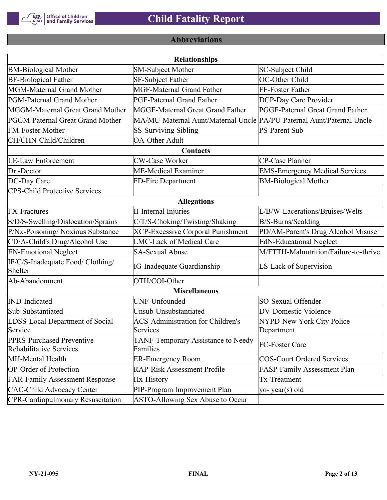

# **Abbreviations**

|                                                      | <b>Relationships</b>                                                  |                                       |
|------------------------------------------------------|-----------------------------------------------------------------------|---------------------------------------|
| <b>BM-Biological Mother</b>                          | <b>SM-Subject Mother</b>                                              | SC-Subject Child                      |
| <b>BF-Biological Father</b>                          | SF-Subject Father                                                     | OC-Other Child                        |
| MGM-Maternal Grand Mother                            | <b>MGF-Maternal Grand Father</b>                                      | FF-Foster Father                      |
| PGM-Paternal Grand Mother                            | PGF-Paternal Grand Father                                             | DCP-Day Care Provider                 |
| MGGM-Maternal Great Grand Mother                     | MGGF-Maternal Great Grand Father                                      | PGGF-Paternal Great Grand Father      |
| PGGM-Paternal Great Grand Mother                     | MA/MU-Maternal Aunt/Maternal Uncle PA/PU-Paternal Aunt/Paternal Uncle |                                       |
| <b>FM-Foster Mother</b>                              | <b>SS-Surviving Sibling</b>                                           | <b>PS-Parent Sub</b>                  |
| CH/CHN-Child/Children                                | <b>OA-Other Adult</b>                                                 |                                       |
|                                                      | Contacts                                                              |                                       |
| <b>LE-Law Enforcement</b>                            | <b>CW-Case Worker</b>                                                 | CP-Case Planner                       |
| Dr.-Doctor                                           | ME-Medical Examiner                                                   | <b>EMS-Emergency Medical Services</b> |
| DC-Day Care                                          | FD-Fire Department                                                    | <b>BM-Biological Mother</b>           |
| <b>CPS-Child Protective Services</b>                 |                                                                       |                                       |
|                                                      | <b>Allegations</b>                                                    |                                       |
| <b>FX-Fractures</b>                                  | <b>II-Internal Injuries</b>                                           | L/B/W-Lacerations/Bruises/Welts       |
| S/D/S-Swelling/Dislocation/Sprains                   | C/T/S-Choking/Twisting/Shaking                                        | B/S-Burns/Scalding                    |
| P/Nx-Poisoning/ Noxious Substance                    | <b>XCP-Excessive Corporal Punishment</b>                              | PD/AM-Parent's Drug Alcohol Misuse    |
| CD/A-Child's Drug/Alcohol Use                        | <b>LMC-Lack of Medical Care</b>                                       | <b>EdN-Educational Neglect</b>        |
| <b>EN-Emotional Neglect</b>                          | <b>SA-Sexual Abuse</b>                                                | M/FTTH-Malnutrition/Failure-to-thrive |
| IF/C/S-Inadequate Food/ Clothing/<br>Shelter         | <b>IG-Inadequate Guardianship</b>                                     | LS-Lack of Supervision                |
| Ab-Abandonment                                       | OTH/COI-Other                                                         |                                       |
|                                                      | <b>Miscellaneous</b>                                                  |                                       |
| <b>IND-Indicated</b>                                 | UNF-Unfounded                                                         | SO-Sexual Offender                    |
| Sub-Substantiated                                    | Unsub-Unsubstantiated                                                 | <b>DV-Domestic Violence</b>           |
| LDSS-Local Department of Social                      | <b>ACS-Administration for Children's</b>                              | NYPD-New York City Police             |
| Service                                              | Services                                                              | Department                            |
| PPRS-Purchased Preventive<br>Rehabilitative Services | TANF-Temporary Assistance to Needy<br>Families                        | FC-Foster Care                        |
| MH-Mental Health                                     | <b>ER-Emergency Room</b>                                              | <b>COS-Court Ordered Services</b>     |
| <b>OP-Order of Protection</b>                        | <b>RAP-Risk Assessment Profile</b>                                    | FASP-Family Assessment Plan           |
| <b>FAR-Family Assessment Response</b>                | Hx-History                                                            | Tx-Treatment                          |
| <b>CAC-Child Advocacy Center</b>                     | PIP-Program Improvement Plan                                          | yo-year(s) old                        |
| <b>CPR-Cardiopulmonary Resuscitation</b>             | ASTO-Allowing Sex Abuse to Occur                                      |                                       |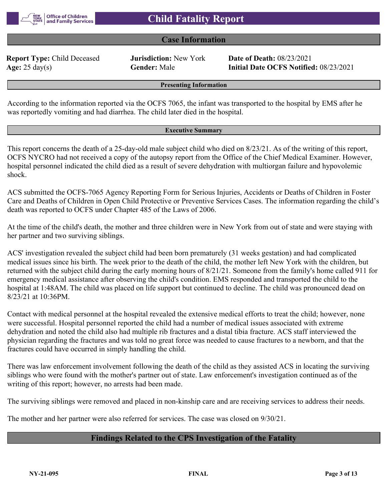

#### **Case Information**

**Report Type:** Child Deceased **Jurisdiction:** New York **Date of Death:** 08/23/2021

**Age:** 25 day(s) **Gender:** Male **Initial Date OCFS Notified:** 08/23/2021

#### **Presenting Information**

According to the information reported via the OCFS 7065, the infant was transported to the hospital by EMS after he was reportedly vomiting and had diarrhea. The child later died in the hospital.

#### **Executive Summary**

This report concerns the death of a 25-day-old male subject child who died on 8/23/21. As of the writing of this report, OCFS NYCRO had not received a copy of the autopsy report from the Office of the Chief Medical Examiner. However, hospital personnel indicated the child died as a result of severe dehydration with multiorgan failure and hypovolemic shock.

ACS submitted the OCFS-7065 Agency Reporting Form for Serious Injuries, Accidents or Deaths of Children in Foster Care and Deaths of Children in Open Child Protective or Preventive Services Cases. The information regarding the child's death was reported to OCFS under Chapter 485 of the Laws of 2006.

At the time of the child's death, the mother and three children were in New York from out of state and were staying with her partner and two surviving siblings.

ACS' investigation revealed the subject child had been born prematurely (31 weeks gestation) and had complicated medical issues since his birth. The week prior to the death of the child, the mother left New York with the children, but returned with the subject child during the early morning hours of 8/21/21. Someone from the family's home called 911 for emergency medical assistance after observing the child's condition. EMS responded and transported the child to the hospital at 1:48AM. The child was placed on life support but continued to decline. The child was pronounced dead on 8/23/21 at 10:36PM.

Contact with medical personnel at the hospital revealed the extensive medical efforts to treat the child; however, none were successful. Hospital personnel reported the child had a number of medical issues associated with extreme dehydration and noted the child also had multiple rib fractures and a distal tibia fracture. ACS staff interviewed the physician regarding the fractures and was told no great force was needed to cause fractures to a newborn, and that the fractures could have occurred in simply handling the child.

There was law enforcement involvement following the death of the child as they assisted ACS in locating the surviving siblings who were found with the mother's partner out of state. Law enforcement's investigation continued as of the writing of this report; however, no arrests had been made.

The surviving siblings were removed and placed in non-kinship care and are receiving services to address their needs.

The mother and her partner were also referred for services. The case was closed on 9/30/21.

#### **Findings Related to the CPS Investigation of the Fatality**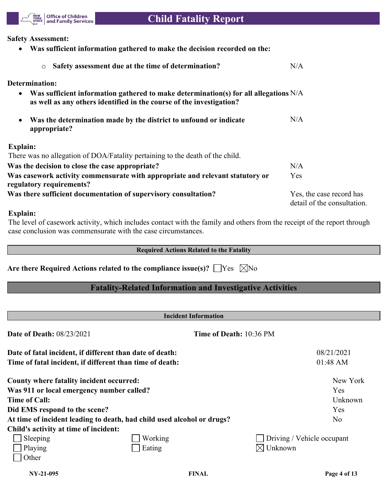

#### **Safety Assessment:**

 **Was sufficient information gathered to make the decision recorded on the:** o **Safety assessment due at the time of determination?** N/A **Determination: Was sufficient information gathered to make determination(s) for all allegations**  N/A **as well as any others identified in the course of the investigation? Was the determination made by the district to unfound or indicate appropriate?**  $N/A$ **Explain:** There was no allegation of DOA/Fatality pertaining to the death of the child. **Was the decision to close the case appropriate?** N/A **Was casework activity commensurate with appropriate and relevant statutory or regulatory requirements?** Yes Was there sufficient documentation of supervisory consultation? Yes, the case record has detail of the consultation.

#### **Explain:**

The level of casework activity, which includes contact with the family and others from the receipt of the report through case conclusion was commensurate with the case circumstances.

#### **Required Actions Related to the Fatality**

## **Are there Required Actions related to the compliance issue(s)?**  $\Box$  Yes  $\Box$  No

## **Fatality-Related Information and Investigative Activities**

| <b>Incident Information</b>                              |                                                                        |                            |  |  |  |
|----------------------------------------------------------|------------------------------------------------------------------------|----------------------------|--|--|--|
| <b>Date of Death: 08/23/2021</b>                         |                                                                        | Time of Death: 10:36 PM    |  |  |  |
| Date of fatal incident, if different than date of death: |                                                                        | 08/21/2021                 |  |  |  |
| Time of fatal incident, if different than time of death: |                                                                        | 01:48 AM                   |  |  |  |
| County where fatality incident occurred:                 |                                                                        | New York                   |  |  |  |
| Was 911 or local emergency number called?                |                                                                        | <b>Yes</b>                 |  |  |  |
| <b>Time of Call:</b>                                     |                                                                        | Unknown                    |  |  |  |
| Did EMS respond to the scene?                            |                                                                        | <b>Yes</b>                 |  |  |  |
|                                                          | At time of incident leading to death, had child used alcohol or drugs? | N <sub>o</sub>             |  |  |  |
| Child's activity at time of incident:                    |                                                                        |                            |  |  |  |
| Sleeping                                                 | Working                                                                | Driving / Vehicle occupant |  |  |  |
| Playing                                                  | Eating                                                                 | Unknown                    |  |  |  |
| Other                                                    |                                                                        |                            |  |  |  |
|                                                          |                                                                        |                            |  |  |  |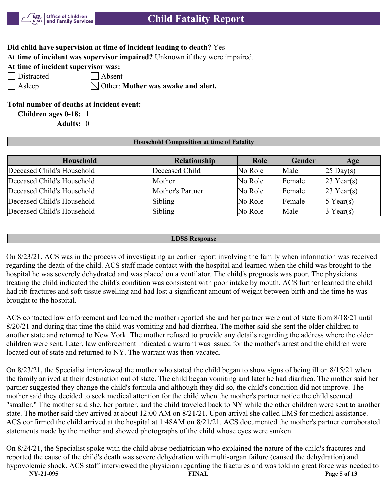

## **Did child have supervision at time of incident leading to death?** Yes

**At time of incident was supervisor impaired?** Unknown if they were impaired.

**At time of incident supervisor was:**

| Distracte |
|-----------|
|           |

 $\Box$  Absent

 $\Box$  Asleep  $\Box$  Other: Mother was awake and alert.

## **Total number of deaths at incident event:**

**Children ages 0-18:** 1

**Adults:** 0

#### **Household Composition at time of Fatality**

| <b>Household</b>           | Relationship     | Role    | Gender        | Age                 |
|----------------------------|------------------|---------|---------------|---------------------|
| Deceased Child's Household | Deceased Child   | No Role | Male          | $25 \text{ Day}(s)$ |
| Deceased Child's Household | Mother           | No Role | <b>Female</b> | $23$ Year(s)        |
| Deceased Child's Household | Mother's Partner | No Role | Female        | $23$ Year(s)        |
| Deceased Child's Household | Sibling          | No Role | Female        | $5$ Year(s)         |
| Deceased Child's Household | Sibling          | No Role | Male          | $3$ Year(s)         |

#### **LDSS Response**

On 8/23/21, ACS was in the process of investigating an earlier report involving the family when information was received regarding the death of the child. ACS staff made contact with the hospital and learned when the child was brought to the hospital he was severely dehydrated and was placed on a ventilator. The child's prognosis was poor. The physicians treating the child indicated the child's condition was consistent with poor intake by mouth. ACS further learned the child had rib fractures and soft tissue swelling and had lost a significant amount of weight between birth and the time he was brought to the hospital.

ACS contacted law enforcement and learned the mother reported she and her partner were out of state from 8/18/21 until 8/20/21 and during that time the child was vomiting and had diarrhea. The mother said she sent the older children to another state and returned to New York. The mother refused to provide any details regarding the address where the older children were sent. Later, law enforcement indicated a warrant was issued for the mother's arrest and the children were located out of state and returned to NY. The warrant was then vacated.

On 8/23/21, the Specialist interviewed the mother who stated the child began to show signs of being ill on 8/15/21 when the family arrived at their destination out of state. The child began vomiting and later he had diarrhea. The mother said her partner suggested they change the child's formula and although they did so, the child's condition did not improve. The mother said they decided to seek medical attention for the child when the mother's partner notice the child seemed "smaller." The mother said she, her partner, and the child traveled back to NY while the other children were sent to another state. The mother said they arrived at about 12:00 AM on 8/21/21. Upon arrival she called EMS for medical assistance. ACS confirmed the child arrived at the hospital at 1:48AM on 8/21/21. ACS documented the mother's partner corroborated statements made by the mother and showed photographs of the child whose eyes were sunken.

**NY-21-095 FINAL Page 5 of 13** On 8/24/21, the Specialist spoke with the child abuse pediatrician who explained the nature of the child's fractures and reported the cause of the child's death was severe dehydration with multi-organ failure (caused the dehydration) and hypovolemic shock. ACS staff interviewed the physician regarding the fractures and was told no great force was needed to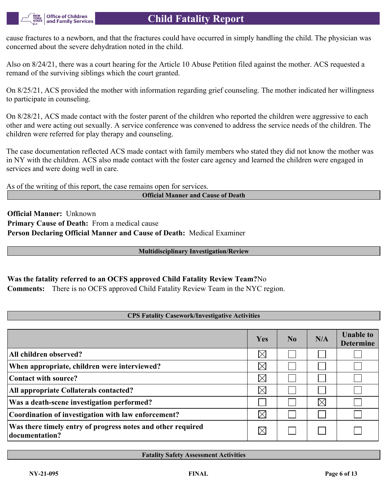cause fractures to a newborn, and that the fractures could have occurred in simply handling the child. The physician was concerned about the severe dehydration noted in the child.

Also on 8/24/21, there was a court hearing for the Article 10 Abuse Petition filed against the mother. ACS requested a remand of the surviving siblings which the court granted.

On 8/25/21, ACS provided the mother with information regarding grief counseling. The mother indicated her willingness to participate in counseling.

On 8/28/21, ACS made contact with the foster parent of the children who reported the children were aggressive to each other and were acting out sexually. A service conference was convened to address the service needs of the children. The children were referred for play therapy and counseling.

The case documentation reflected ACS made contact with family members who stated they did not know the mother was in NY with the children. ACS also made contact with the foster care agency and learned the children were engaged in services and were doing well in care.

As of the writing of this report, the case remains open for services.

**Official Manner and Cause of Death**

**Official Manner:** Unknown **Primary Cause of Death:** From a medical cause **Person Declaring Official Manner and Cause of Death:** Medical Examiner

#### **Multidisciplinary Investigation/Review**

## **Was the fatality referred to an OCFS approved Child Fatality Review Team?**No

**Comments:** There is no OCFS approved Child Fatality Review Team in the NYC region.

#### **CPS Fatality Casework/Investigative Activities**

|                                                                               | Yes         | N <sub>0</sub> | N/A      | <b>Unable to</b><br><b>Determine</b> |
|-------------------------------------------------------------------------------|-------------|----------------|----------|--------------------------------------|
| All children observed?                                                        | $\times$    |                |          |                                      |
| When appropriate, children were interviewed?                                  | $\boxtimes$ |                |          |                                      |
| Contact with source?                                                          | $\boxtimes$ |                |          |                                      |
| All appropriate Collaterals contacted?                                        | $\boxtimes$ |                |          |                                      |
| Was a death-scene investigation performed?                                    |             |                | $\times$ |                                      |
| Coordination of investigation with law enforcement?                           | $\times$    |                |          |                                      |
| Was there timely entry of progress notes and other required<br>documentation? | IX          |                |          |                                      |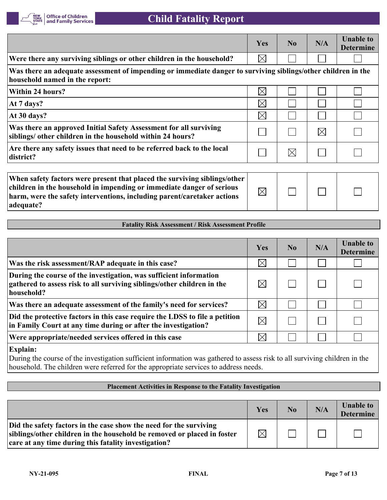

|                                                                                                                                                                                                                               | <b>Yes</b>  | No          | N/A         | <b>Unable to</b><br><b>Determine</b> |
|-------------------------------------------------------------------------------------------------------------------------------------------------------------------------------------------------------------------------------|-------------|-------------|-------------|--------------------------------------|
| Were there any surviving siblings or other children in the household?                                                                                                                                                         | $\boxtimes$ |             |             |                                      |
| Was there an adequate assessment of impending or immediate danger to surviving siblings/other children in the<br>household named in the report:                                                                               |             |             |             |                                      |
| <b>Within 24 hours?</b>                                                                                                                                                                                                       | $\boxtimes$ |             |             |                                      |
| At 7 days?                                                                                                                                                                                                                    | $\boxtimes$ |             |             |                                      |
| At 30 days?                                                                                                                                                                                                                   | $\boxtimes$ |             |             |                                      |
| Was there an approved Initial Safety Assessment for all surviving<br>siblings/ other children in the household within 24 hours?                                                                                               |             |             | $\boxtimes$ |                                      |
| Are there any safety issues that need to be referred back to the local<br>district?                                                                                                                                           |             | $\boxtimes$ |             |                                      |
|                                                                                                                                                                                                                               |             |             |             |                                      |
| When safety factors were present that placed the surviving siblings/other<br>children in the household in impending or immediate danger of serious<br>harm, were the safety interventions, including parent/caretaker actions | $\boxtimes$ |             |             |                                      |

## **Fatality Risk Assessment / Risk Assessment Profile**

|                                                                                                                                                             | Yes         | No. | N/A | <b>Unable to</b><br><b>Determine</b> |
|-------------------------------------------------------------------------------------------------------------------------------------------------------------|-------------|-----|-----|--------------------------------------|
| Was the risk assessment/RAP adequate in this case?                                                                                                          | $\boxtimes$ |     |     |                                      |
| During the course of the investigation, was sufficient information<br>gathered to assess risk to all surviving siblings/other children in the<br>household? | $\boxtimes$ |     |     |                                      |
| Was there an adequate assessment of the family's need for services?                                                                                         | $\boxtimes$ |     |     |                                      |
| Did the protective factors in this case require the LDSS to file a petition<br>in Family Court at any time during or after the investigation?               | $\boxtimes$ |     |     |                                      |
| Were appropriate/needed services offered in this case                                                                                                       | $\boxtimes$ |     |     |                                      |
| $\mathbf{E}$ ralaine                                                                                                                                        |             |     |     |                                      |

**Explain:**

**adequate?**

During the course of the investigation sufficient information was gathered to assess risk to all surviving children in the household. The children were referred for the appropriate services to address needs.

#### **Placement Activities in Response to the Fatality Investigation**

|                                                                                                                                                                                                       | Yes         | No | N/A | <b>Unable to</b><br><b>Determine</b> |
|-------------------------------------------------------------------------------------------------------------------------------------------------------------------------------------------------------|-------------|----|-----|--------------------------------------|
| Did the safety factors in the case show the need for the surviving<br>siblings/other children in the household be removed or placed in foster<br>care at any time during this fatality investigation? | $\boxtimes$ |    |     |                                      |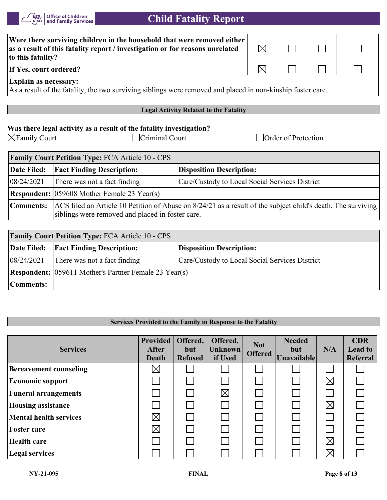

| Were there surviving children in the household that were removed either<br>as a result of this fatality report / investigation or for reasons unrelated<br>to this fatality? | $\boxtimes$ |  |  |  |
|------------------------------------------------------------------------------------------------------------------------------------------------------------------------------|-------------|--|--|--|
| If Yes, court ordered?                                                                                                                                                       | IX          |  |  |  |
| <b>Explain as necessary:</b><br>As a result of the fatality, the two surviving siblings were removed and placed in non-kinship foster care.                                  |             |  |  |  |

#### **Legal Activity Related to the Fatality**

## **Was there legal activity as a result of the fatality investigation?**

∑Family Court Criminal Court Criminal Court Court Court

| <b>Family Court Petition Type: FCA Article 10 - CPS</b> |                                                                                                                                                                  |                                                |  |  |  |  |
|---------------------------------------------------------|------------------------------------------------------------------------------------------------------------------------------------------------------------------|------------------------------------------------|--|--|--|--|
| <b>Date Filed:</b>                                      | <b>Fact Finding Description:</b>                                                                                                                                 | <b>Disposition Description:</b>                |  |  |  |  |
| 08/24/2021                                              | There was not a fact finding                                                                                                                                     | Care/Custody to Local Social Services District |  |  |  |  |
|                                                         | <b>Respondent:</b> 059608 Mother Female 23 Year(s)                                                                                                               |                                                |  |  |  |  |
| Comments:                                               | ACS filed an Article 10 Petition of Abuse on 8/24/21 as a result of the subject child's death. The surviving<br>siblings were removed and placed in foster care. |                                                |  |  |  |  |

| <b>Family Court Petition Type: FCA Article 10 - CPS</b> |                                                              |                                                |  |  |
|---------------------------------------------------------|--------------------------------------------------------------|------------------------------------------------|--|--|
|                                                         | Date Filed:   Fact Finding Description:                      | <b>Disposition Description:</b>                |  |  |
| 08/24/2021                                              | There was not a fact finding                                 | Care/Custody to Local Social Services District |  |  |
|                                                         | <b>Respondent:</b> 059611 Mother's Partner Female 23 Year(s) |                                                |  |  |
| Comments:                                               |                                                              |                                                |  |  |

#### **Services Provided to the Family in Response to the Fatality**

| <b>Services</b>               | Provided<br>After<br>Death | Offered,<br>but<br><b>Refused</b> | Offered,<br><b>Unknown</b><br>if Used | <b>Not</b><br><b>Offered</b> | <b>Needed</b><br>but<br><b>Unavailable</b> | N/A         | <b>CDR</b><br><b>Lead to</b><br>Referral |
|-------------------------------|----------------------------|-----------------------------------|---------------------------------------|------------------------------|--------------------------------------------|-------------|------------------------------------------|
| <b>Bereavement counseling</b> | $\boxtimes$                |                                   |                                       |                              |                                            |             |                                          |
| <b>Economic support</b>       |                            |                                   |                                       |                              |                                            | $\boxtimes$ |                                          |
| <b>Funeral arrangements</b>   |                            |                                   | $\times$                              |                              |                                            |             |                                          |
| <b>Housing assistance</b>     |                            |                                   |                                       |                              |                                            | $\boxtimes$ |                                          |
| <b>Mental health services</b> | $\boxtimes$                |                                   |                                       |                              |                                            |             |                                          |
| <b>Foster care</b>            | $\boxtimes$                |                                   |                                       |                              |                                            |             |                                          |
| <b>Health care</b>            |                            |                                   |                                       |                              |                                            | $\boxtimes$ |                                          |
| Legal services                |                            |                                   |                                       |                              |                                            | $\times$    |                                          |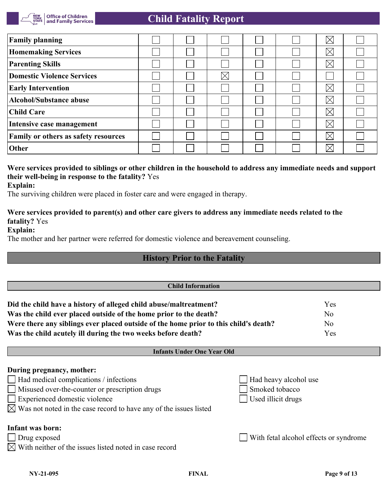

| <b>Family planning</b>               |  |             |  | $\times$ |  |
|--------------------------------------|--|-------------|--|----------|--|
| <b>Homemaking Services</b>           |  |             |  | $\times$ |  |
| <b>Parenting Skills</b>              |  |             |  | $\times$ |  |
| <b>Domestic Violence Services</b>    |  | $\boxtimes$ |  |          |  |
| <b>Early Intervention</b>            |  |             |  | $\times$ |  |
| <b>Alcohol/Substance abuse</b>       |  |             |  | $\times$ |  |
| <b>Child Care</b>                    |  |             |  | $\times$ |  |
| Intensive case management            |  |             |  | $\times$ |  |
| Family or others as safety resources |  |             |  | $\times$ |  |
| Other                                |  |             |  | $\times$ |  |

# **Were services provided to siblings or other children in the household to address any immediate needs and support their well-being in response to the fatality?** Yes

**Explain:**

The surviving children were placed in foster care and were engaged in therapy.

## **Were services provided to parent(s) and other care givers to address any immediate needs related to the fatality?** Yes

**Explain:**

The mother and her partner were referred for domestic violence and bereavement counseling.

# **History Prior to the Fatality**

| <b>Child Information</b>                                                                                                                                  |                       |                                        |
|-----------------------------------------------------------------------------------------------------------------------------------------------------------|-----------------------|----------------------------------------|
| Did the child have a history of alleged child abuse/maltreatment?                                                                                         |                       | Yes                                    |
| Was the child ever placed outside of the home prior to the death?<br>Were there any siblings ever placed outside of the home prior to this child's death? |                       | N <sub>o</sub><br>N <sub>o</sub>       |
| Was the child acutely ill during the two weeks before death?                                                                                              |                       | Yes                                    |
| <b>Infants Under One Year Old</b>                                                                                                                         |                       |                                        |
| During pregnancy, mother:                                                                                                                                 |                       |                                        |
| $\Box$ Had medical complications / infections                                                                                                             | Had heavy alcohol use |                                        |
| Misused over-the-counter or prescription drugs<br>$\mathbf{I}$                                                                                            | Smoked tobacco        |                                        |
| Experienced domestic violence                                                                                                                             | Used illicit drugs    |                                        |
| $\boxtimes$ Was not noted in the case record to have any of the issues listed                                                                             |                       |                                        |
| <b>Infant was born:</b>                                                                                                                                   |                       |                                        |
| $\Box$ Drug exposed                                                                                                                                       |                       | With fetal alcohol effects or syndrome |
| $\boxtimes$ With neither of the issues listed noted in case record                                                                                        |                       |                                        |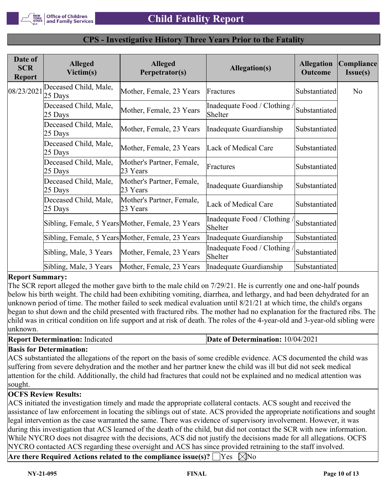

| Date of<br><b>SCR</b><br><b>Report</b> | <b>Alleged</b><br>Victim(s)      | <b>Alleged</b><br>Perpetrator(s)                  | <b>Allegation(s)</b>                  | <b>Allegation</b><br><b>Outcome</b> | Compliance<br>I <sub>ssue(s)</sub> |
|----------------------------------------|----------------------------------|---------------------------------------------------|---------------------------------------|-------------------------------------|------------------------------------|
| 08/23/2021                             | Deceased Child, Male,<br>25 Days | Mother, Female, 23 Years                          | Fractures                             | Substantiated                       | No                                 |
|                                        | Deceased Child, Male,<br>25 Days | Mother, Female, 23 Years                          | Inadequate Food / Clothing<br>Shelter | Substantiated                       |                                    |
|                                        | Deceased Child, Male,<br>25 Days | Mother, Female, 23 Years                          | Inadequate Guardianship               | Substantiated                       |                                    |
|                                        | Deceased Child, Male,<br>25 Days | Mother, Female, 23 Years                          | Lack of Medical Care                  | Substantiated                       |                                    |
|                                        | Deceased Child, Male,<br>25 Days | Mother's Partner, Female,<br>23 Years             | Fractures                             | Substantiated                       |                                    |
|                                        | Deceased Child, Male,<br>25 Days | Mother's Partner, Female,<br>23 Years             | Inadequate Guardianship               | Substantiated                       |                                    |
|                                        | Deceased Child, Male,<br>25 Days | Mother's Partner, Female,<br>23 Years             | Lack of Medical Care                  | Substantiated                       |                                    |
|                                        |                                  | Sibling, Female, 5 Years Mother, Female, 23 Years | Inadequate Food / Clothing<br>Shelter | Substantiated                       |                                    |
|                                        |                                  | Sibling, Female, 5 Years Mother, Female, 23 Years | Inadequate Guardianship               | Substantiated                       |                                    |
|                                        | Sibling, Male, 3 Years           | Mother, Female, 23 Years                          | Inadequate Food / Clothing<br>Shelter | Substantiated                       |                                    |
|                                        | Sibling, Male, 3 Years           | Mother, Female, 23 Years                          | Inadequate Guardianship               | Substantiated                       |                                    |

#### **CPS - Investigative History Three Years Prior to the Fatality**

#### **Report Summary:**

The SCR report alleged the mother gave birth to the male child on 7/29/21. He is currently one and one-half pounds below his birth weight. The child had been exhibiting vomiting, diarrhea, and lethargy, and had been dehydrated for an unknown period of time. The mother failed to seek medical evaluation until 8/21/21 at which time, the child's organs began to shut down and the child presented with fractured ribs. The mother had no explanation for the fractured ribs. The child was in critical condition on life support and at risk of death. The roles of the 4-year-old and 3-year-old sibling were unknown.

**Report Determination:** Indicated **Date of Determination:** 10/04/2021

#### **Basis for Determination:**

ACS substantiated the allegations of the report on the basis of some credible evidence. ACS documented the child was suffering from severe dehydration and the mother and her partner knew the child was ill but did not seek medical attention for the child. Additionally, the child had fractures that could not be explained and no medical attention was sought.

#### **OCFS Review Results:**

ACS initiated the investigation timely and made the appropriate collateral contacts. ACS sought and received the assistance of law enforcement in locating the siblings out of state. ACS provided the appropriate notifications and sought legal intervention as the case warranted the same. There was evidence of supervisory involvement. However, it was during this investigation that ACS learned of the death of the child, but did not contact the SCR with new information. While NYCRO does not disagree with the decisions, ACS did not justify the decisions made for all allegations. OCFS NYCRO contacted ACS regarding these oversight and ACS has since provided retraining to the staff involved.

**Are there Required Actions related to the compliance issue(s)?**  $\Box$  Yes  $\Box$  No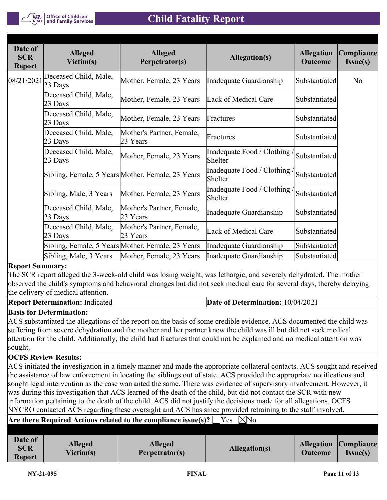| Date of<br><b>SCR</b><br><b>Report</b> | <b>Alleged</b><br>Victim(s)        | <b>Alleged</b><br>Perpetrator(s)                  | <b>Allegation(s)</b>                    | <b>Allegation</b><br><b>Outcome</b> | Compliance<br><b>Issue(s)</b> |
|----------------------------------------|------------------------------------|---------------------------------------------------|-----------------------------------------|-------------------------------------|-------------------------------|
| 08/21/2021                             | Deceased Child, Male,<br>$23$ Days | Mother, Female, 23 Years                          | Inadequate Guardianship                 | Substantiated                       | No                            |
|                                        | Deceased Child, Male,<br>$23$ Days | Mother, Female, 23 Years                          | Lack of Medical Care                    | Substantiated                       |                               |
|                                        | Deceased Child, Male,<br>23 Days   | Mother, Female, 23 Years                          | Fractures                               | Substantiated                       |                               |
|                                        | Deceased Child, Male,<br>$23$ Days | Mother's Partner, Female,<br>23 Years             | Fractures                               | Substantiated                       |                               |
|                                        | Deceased Child, Male,<br>23 Days   | Mother, Female, 23 Years                          | Inadequate Food / Clothing /<br>Shelter | Substantiated                       |                               |
|                                        |                                    | Sibling, Female, 5 Years Mother, Female, 23 Years | Inadequate Food / Clothing<br>Shelter   | Substantiated                       |                               |
|                                        | Sibling, Male, 3 Years             | Mother, Female, 23 Years                          | Inadequate Food / Clothing /<br>Shelter | Substantiated                       |                               |
|                                        | Deceased Child, Male,<br>23 Days   | Mother's Partner, Female,<br>23 Years             | Inadequate Guardianship                 | Substantiated                       |                               |
|                                        | Deceased Child, Male,<br>23 Days   | Mother's Partner, Female,<br>23 Years             | Lack of Medical Care                    | Substantiated                       |                               |
|                                        |                                    | Sibling, Female, 5 Years Mother, Female, 23 Years | Inadequate Guardianship                 | Substantiated                       |                               |
|                                        | Sibling, Male, 3 Years             | Mother, Female, 23 Years                          | Inadequate Guardianship                 | Substantiated                       |                               |

## **Report Summary:**

The SCR report alleged the 3-week-old child was losing weight, was lethargic, and severely dehydrated. The mother observed the child's symptoms and behavioral changes but did not seek medical care for several days, thereby delaying the delivery of medical attention.

| <b>Report Determination: Indicated</b> | <b>Date of Determination: 10/04/2021</b> |
|----------------------------------------|------------------------------------------|
|----------------------------------------|------------------------------------------|

## **Basis for Determination:**

ACS substantiated the allegations of the report on the basis of some credible evidence. ACS documented the child was suffering from severe dehydration and the mother and her partner knew the child was ill but did not seek medical attention for the child. Additionally, the child had fractures that could not be explained and no medical attention was sought.

#### **OCFS Review Results:**

ACS initiated the investigation in a timely manner and made the appropriate collateral contacts. ACS sought and received the assistance of law enforcement in locating the siblings out of state. ACS provided the appropriate notifications and sought legal intervention as the case warranted the same. There was evidence of supervisory involvement. However, it was during this investigation that ACS learned of the death of the child, but did not contact the SCR with new information pertaining to the death of the child. ACS did not justify the decisions made for all allegations. OCFS NYCRO contacted ACS regarding these oversight and ACS has since provided retraining to the staff involved.

## **Are there Required Actions related to the compliance issue(s)?**  $\Box$  **Yes**  $\Box$  **No**

| Date of<br><b>SCR</b><br><b>Report</b> | <b>Alleged</b><br>Victim(s) | <b>Alleged</b><br>Perpetrator(s) | Allegation(s) | <b>Outcome</b> | <b>Allegation Compliance</b><br><b>Issue(s)</b> |
|----------------------------------------|-----------------------------|----------------------------------|---------------|----------------|-------------------------------------------------|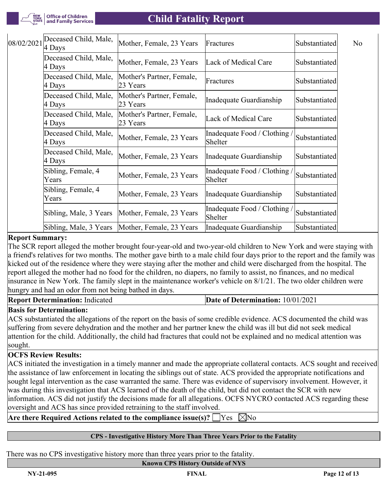

| 08/02/2021 | Deceased Child, Male,<br>4 Days | Mother, Female, 23 Years              | Fractures                               | Substantiated | N <sub>o</sub> |
|------------|---------------------------------|---------------------------------------|-----------------------------------------|---------------|----------------|
|            | Deceased Child, Male,<br>4 Days | Mother, Female, 23 Years              | Lack of Medical Care                    | Substantiated |                |
|            | Deceased Child, Male,<br>4 Days | Mother's Partner, Female,<br>23 Years | Fractures                               | Substantiated |                |
|            | Deceased Child, Male,<br>4 Days | Mother's Partner, Female,<br>23 Years | Inadequate Guardianship                 | Substantiated |                |
|            | Deceased Child, Male,<br>4 Days | Mother's Partner, Female,<br>23 Years | Lack of Medical Care                    | Substantiated |                |
|            | Deceased Child, Male,<br>4 Days | Mother, Female, 23 Years              | Inadequate Food / Clothing /<br>Shelter | Substantiated |                |
|            | Deceased Child, Male,<br>4 Days | Mother, Female, 23 Years              | Inadequate Guardianship                 | Substantiated |                |
|            | Sibling, Female, 4<br>Years     | Mother, Female, 23 Years              | Inadequate Food / Clothing /<br>Shelter | Substantiated |                |
|            | Sibling, Female, 4<br>Years     | Mother, Female, 23 Years              | Inadequate Guardianship                 | Substantiated |                |
|            | Sibling, Male, 3 Years          | Mother, Female, 23 Years              | Inadequate Food / Clothing /<br>Shelter | Substantiated |                |
|            | Sibling, Male, 3 Years          | Mother, Female, 23 Years              | Inadequate Guardianship                 | Substantiated |                |

#### **Report Summary:**

The SCR report alleged the mother brought four-year-old and two-year-old children to New York and were staying with a friend's relatives for two months. The mother gave birth to a male child four days prior to the report and the family was kicked out of the residence where they were staying after the mother and child were discharged from the hospital. The report alleged the mother had no food for the children, no diapers, no family to assist, no finances, and no medical insurance in New York. The family slept in the maintenance worker's vehicle on 8/1/21. The two older children were hungry and had an odor from not being bathed in days.

**Report Determination:** Indicated **Date of Determination:** 10/01/2021

## **Basis for Determination:**

ACS substantiated the allegations of the report on the basis of some credible evidence. ACS documented the child was suffering from severe dehydration and the mother and her partner knew the child was ill but did not seek medical attention for the child. Additionally, the child had fractures that could not be explained and no medical attention was sought.

#### **OCFS Review Results:**

ACS initiated the investigation in a timely manner and made the appropriate collateral contacts. ACS sought and received the assistance of law enforcement in locating the siblings out of state. ACS provided the appropriate notifications and sought legal intervention as the case warranted the same. There was evidence of supervisory involvement. However, it was during this investigation that ACS learned of the death of the child, but did not contact the SCR with new information. ACS did not justify the decisions made for all allegations. OCFS NYCRO contacted ACS regarding these oversight and ACS has since provided retraining to the staff involved.

## **Are there Required Actions related to the compliance issue(s)?**  $\forall$  Yes  $\forall$ No

#### **CPS - Investigative History More Than Three Years Prior to the Fatality**

There was no CPS investigative history more than three years prior to the fatality.

#### **Known CPS History Outside of NYS**